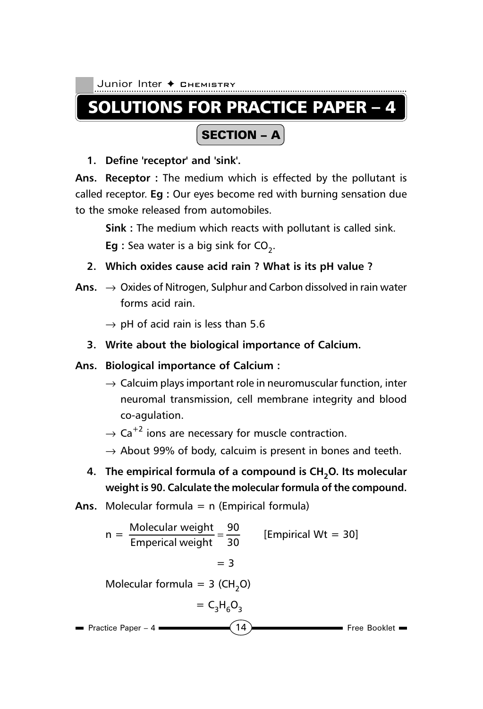# SOLUTIONS FOR PRACTICE PAPER – 4

# SECTION – A

**1. Define 'receptor' and 'sink'.**

**Ans. Receptor :** The medium which is effected by the pollutant is called receptor. **Eg :** Our eyes become red with burning sensation due to the smoke released from automobiles.

**Sink :** The medium which reacts with pollutant is called sink. **Eg** : Sea water is a big sink for CO<sub>2</sub>.

- **2. Which oxides cause acid rain ? What is its pH value ?**
- **Ans.** → Oxides of Nitrogen, Sulphur and Carbon dissolved in rain water forms acid rain.
	- $\rightarrow$  pH of acid rain is less than 5.6
	- **3. Write about the biological importance of Calcium.**

### **Ans. Biological importance of Calcium :**

- $\rightarrow$  Calcuim plays important role in neuromuscular function, inter neuromal transmission, cell membrane integrity and blood co-agulation.
- $\rightarrow$  Ca<sup>+2</sup> ions are necessary for muscle contraction.
- $\rightarrow$  About 99% of body, calcuim is present in bones and teeth.
- 4. The empirical formula of a compound is CH<sub>2</sub>O. Its molecular **weight is 90. Calculate the molecular formula of the compound.**
- **Ans.** Molecular formula = n (Empirical formula)

n = 
$$
\frac{\text{Molecular weight}}{\text{Empirical weight}} = \frac{90}{30}
$$
 [Empirical Wt = 30]  
= 3  
Molecular formula = 3 (CH<sub>2</sub>O)  
= C<sub>3</sub>H<sub>6</sub>O<sub>3</sub>  
Practice Paper - 4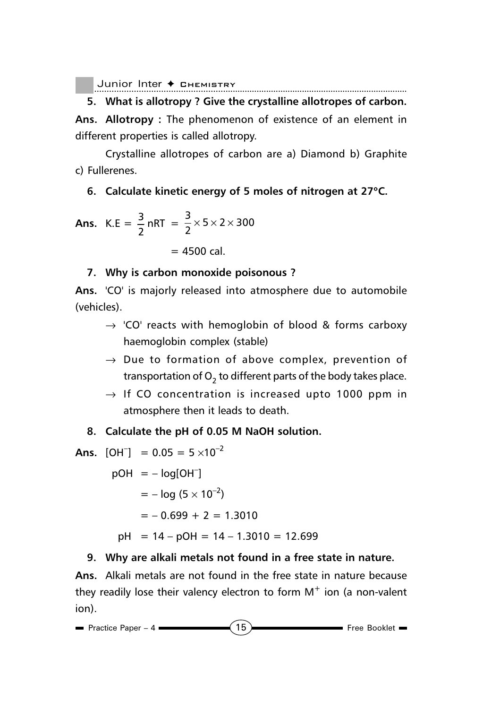**5. What is allotropy ? Give the crystalline allotropes of carbon. Ans. Allotropy :** The phenomenon of existence of an element in different properties is called allotropy.

Crystalline allotropes of carbon are a) Diamond b) Graphite c) Fullerenes.

#### **6. Calculate kinetic energy of 5 moles of nitrogen at 27**°**C.**

**Ans.** K.E = 
$$
\frac{3}{2}
$$
 nRT =  $\frac{3}{2} \times 5 \times 2 \times 300$   
= 4500 cal.

#### **7. Why is carbon monoxide poisonous ?**

**Ans.** 'CO' is majorly released into atmosphere due to automobile (vehicles).

- $\rightarrow$  'CO' reacts with hemoglobin of blood & forms carboxy haemoglobin complex (stable)
- $\rightarrow$  Due to formation of above complex, prevention of transportation of  $O<sub>2</sub>$  to different parts of the body takes place.
- $\rightarrow$  If CO concentration is increased upto 1000 ppm in atmosphere then it leads to death.

#### **8. Calculate the pH of 0.05 M NaOH solution.**

Ans. 
$$
[OH^-] = 0.05 = 5 \times 10^{-2}
$$

 $pOH = - log[OH^{-}]$  $= - \log (5 \times 10^{-2})$  $= -0.699 + 2 = 1.3010$  $pH = 14 - pOH = 14 - 1.3010 = 12.699$ 

#### **9. Why are alkali metals not found in a free state in nature.**

**Ans.** Alkali metals are not found in the free state in nature because they readily lose their valency electron to form  $M^+$  ion (a non-valent ion).

$$
\blacksquare
$$
 Practice Paper - 4\n\n①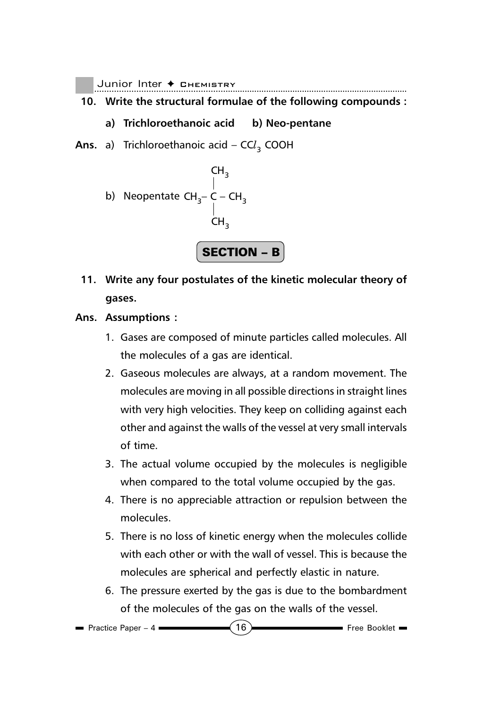- **10. Write the structural formulae of the following compounds :**
	- **a) Trichloroethanoic acid b) Neo-pentane**
- **Ans.** a) Trichloroethanoic acid CC*l* 3 COOH



- **11. Write any four postulates of the kinetic molecular theory of gases.**
- **Ans. Assumptions :**
	- 1. Gases are composed of minute particles called molecules. All the molecules of a gas are identical.
	- 2. Gaseous molecules are always, at a random movement. The molecules are moving in all possible directions in straight lines with very high velocities. They keep on colliding against each other and against the walls of the vessel at very small intervals of time.
	- 3. The actual volume occupied by the molecules is negligible when compared to the total volume occupied by the gas.
	- 4. There is no appreciable attraction or repulsion between the molecules.
	- 5. There is no loss of kinetic energy when the molecules collide with each other or with the wall of vessel. This is because the molecules are spherical and perfectly elastic in nature.
	- 6. The pressure exerted by the gas is due to the bombardment of the molecules of the gas on the walls of the vessel.

```
Practice Paper – 4 \sim 16
```
Free Booklet =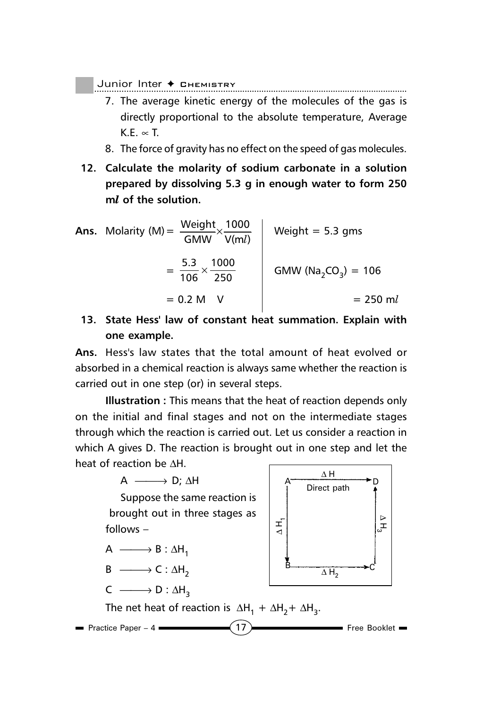Junior Inter ◆ Снемівтrу

- 7. The average kinetic energy of the molecules of the gas is directly proportional to the absolute temperature, Average K.E.  $\propto$  T.
- 8. The force of gravity has no effect on the speed of gas molecules.
- **12. Calculate the molarity of sodium carbonate in a solution prepared by dissolving 5.3 g in enough water to form 250 m***l* **of the solution.**

**Ans.** Molarity (M)= V(m ) 1000 GMW Weight *l* × Weight = 5.3 gms = 250 1000 106 5.3 × GMW (Na2CO3) = 106 = 0.2 M V = 250 m*l*

# **13. State Hess' law of constant heat summation. Explain with one example.**

**Ans.** Hess's law states that the total amount of heat evolved or absorbed in a chemical reaction is always same whether the reaction is carried out in one step (or) in several steps.

**Illustration :** This means that the heat of reaction depends only on the initial and final stages and not on the intermediate stages through which the reaction is carried out. Let us consider a reaction in which A gives D. The reaction is brought out in one step and let the heat of reaction be ∆H.

$$
A \xrightarrow{\hspace{2cm}} D; \Delta H
$$

Suppose the same reaction is brought out in three stages as follows –

$$
A \xrightarrow{\qquad} B : \Delta H_1
$$

$$
B \xrightarrow{\qquad} C : \Delta H_2
$$

$$
\mathsf{C}\;\longrightarrow\mathsf{D}:\Delta\mathsf{H}_3
$$



Free Booklet Practice Paper – 4 The net heat of reaction is  $\Delta H_1 + \Delta H_2 + \Delta H_3$ .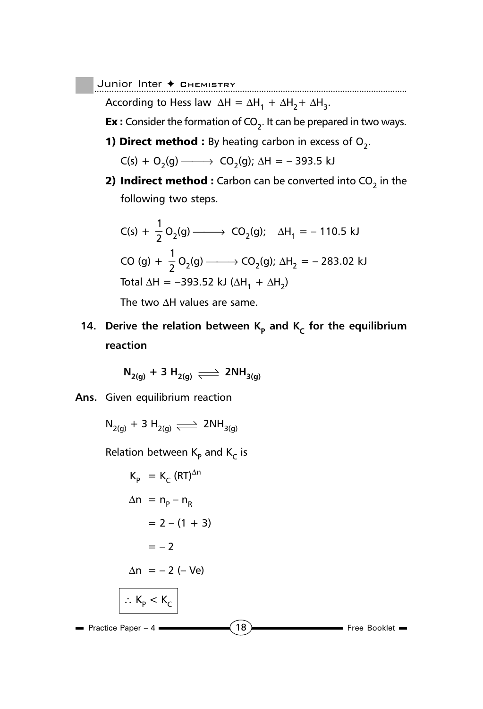................................................................................................................................. Junior Inter ✦ Chemistry

According to Hess law  $\Delta H = \Delta H_1 + \Delta H_2 + \Delta H_3$ .

**Ex**: Consider the formation of  $CO<sub>2</sub>$ . It can be prepared in two ways.

**1) Direct method :** By heating carbon in excess of  $O_2$ .

$$
C(s) + O_2(g) \longrightarrow CO_2(g); \Delta H = -393.5 \text{ kJ}
$$

**2) Indirect method :** Carbon can be converted into  $CO<sub>2</sub>$  in the following two steps.

$$
C(s) + \frac{1}{2}O_2(g) \longrightarrow CO_2(g); \quad \Delta H_1 = -110.5 \text{ kJ}
$$
  
\n
$$
CO(g) + \frac{1}{2}O_2(g) \longrightarrow CO_2(g); \quad \Delta H_2 = -283.02 \text{ kJ}
$$
  
\n
$$
Total \Delta H = -393.52 \text{ kJ } (\Delta H_1 + \Delta H_2)
$$

The two ∆H values are same.

**14.** Derive the relation between  $K_p$  and  $K_c$  for the equilibrium **reaction**

$$
\mathsf{N}_{2(g)} + 3 \mathsf{H}_{2(g)} \rightleftharpoons 2\mathsf{NH}_{3(g)}
$$

**Ans.** Given equilibrium reaction

$$
\mathrm{N}_{2\mathrm{(g)}} + 3 \mathrm{H}_{2\mathrm{(g)}} \rightleftharpoons 2\mathrm{NH}_{3\mathrm{(g)}}
$$

Relation between  $K_p$  and  $K_c$  is

$$
K_{p} = K_{C} (RT)^{\Delta n}
$$
\n
$$
\Delta n = n_{p} - n_{R}
$$
\n
$$
= 2 - (1 + 3)
$$
\n
$$
= -2
$$
\n
$$
\Delta n = -2 (-Ve)
$$
\n
$$
\therefore K_{p} < K_{C}
$$
\n
$$
\therefore
$$
\n
$$
= \text{Practice Paper -4}
$$
\n
$$
\boxed{18}
$$
\nFree Booklet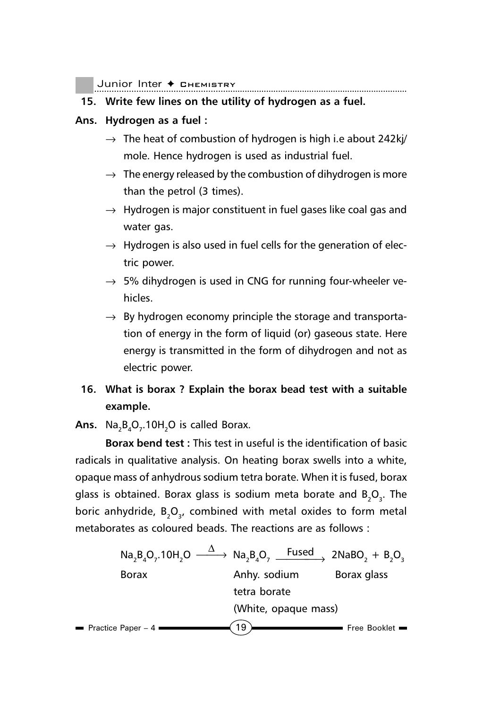Junior Inter ◆ снємівткт

#### **15. Write few lines on the utility of hydrogen as a fuel.**

#### **Ans. Hydrogen as a fuel :**

- $\rightarrow$  The heat of combustion of hydrogen is high i.e about 242kj/ mole. Hence hydrogen is used as industrial fuel.
- $\rightarrow$  The energy released by the combustion of dihydrogen is more than the petrol (3 times).
- $\rightarrow$  Hydrogen is major constituent in fuel gases like coal gas and water gas.
- $\rightarrow$  Hydrogen is also used in fuel cells for the generation of electric power.
- $\rightarrow$  5% dihydrogen is used in CNG for running four-wheeler vehicles.
- $\rightarrow$  By hydrogen economy principle the storage and transportation of energy in the form of liquid (or) gaseous state. Here energy is transmitted in the form of dihydrogen and not as electric power.

## **16. What is borax ? Explain the borax bead test with a suitable example.**

**Ans.**  $\,$  Na<sub>2</sub>B<sub>4</sub>O<sub>7</sub>.10H<sub>2</sub>O is called Borax.

**Borax bend test :** This test in useful is the identification of basic radicals in qualitative analysis. On heating borax swells into a white, opaque mass of anhydrous sodium tetra borate. When it is fused, borax glass is obtained. Borax glass is sodium meta borate and  $\mathsf{B}_2\mathsf{O}_3$ . The boric anhydride,  $B_2O_3$ , combined with metal oxides to form metal metaborates as coloured beads. The reactions are as follows :

| $Na_2B_4O_7.10H_2O$ | $\Delta$             | $Na_2B_4O_7$ | $\text{Fused}$ | $2NaBO_2 + B_2O_3$ |
|---------------------|----------------------|--------------|----------------|--------------------|
| Borax               | Anhy. sodium         | Borax glass  |                |                    |
| tetra borate        | (White, opaque mass) |              |                |                    |
| Practice Paper -4   | 19                   | Free Booklet |                |                    |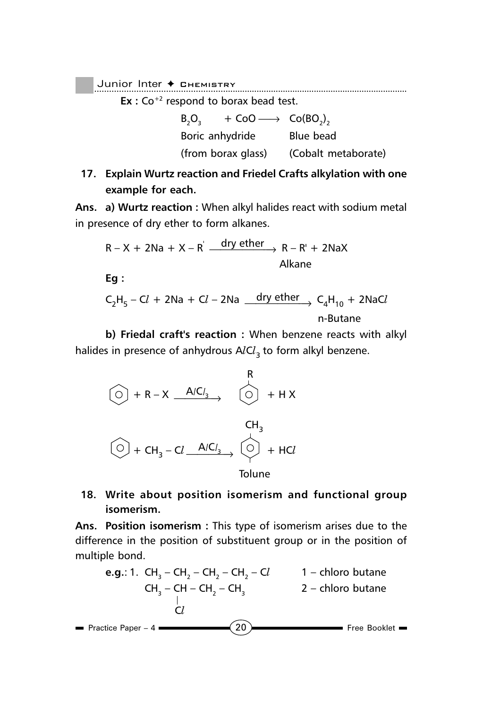................................................................................................................................. Junior Inter ✦ Chemistry

**Ex** : Co<sup>+2</sup> respond to borax bead test.

 $B_2O_3$  + CoO  $\longrightarrow$  Co(BO<sub>2</sub>)<sub>2</sub> Boric anhydride Blue bead (from borax glass) (Cobalt metaborate)

**17. Explain Wurtz reaction and Friedel Crafts alkylation with one example for each.**

**Ans. a) Wurtz reaction :** When alkyl halides react with sodium metal in presence of dry ether to form alkanes.

$$
R - X + 2Na + X - R' \xrightarrow{dry \text{ ether}} R - R' + 2NaX
$$
Alkane

**Eg :**

$$
C_2H_5 - CL + 2Na + Cl - 2Na \underbrace{\quad \text{dry ether}}_{n\text{-Butane}} C_4H_{10} + 2NaCl
$$

**b) Friedal craft's reaction :** When benzene reacts with alkyl halides in presence of anhydrous A*l*C*l* <sup>3</sup>to form alkyl benzene.



**18. Write about position isomerism and functional group isomerism.**

**Ans. Position isomerism :** This type of isomerism arises due to the difference in the position of substituent group or in the position of multiple bond.

Free Booklet Practice Paper – 4  $(20)$ **e.g.**: 1. CH<sub>3</sub> – CH<sub>2</sub> – CH<sub>2</sub> – CH<sub>2</sub> – Cl<sub>2</sub> – 1 – chloro butane  $CH_3 - CH - CH_2 - CH_3$  2 – chloro butane C*l*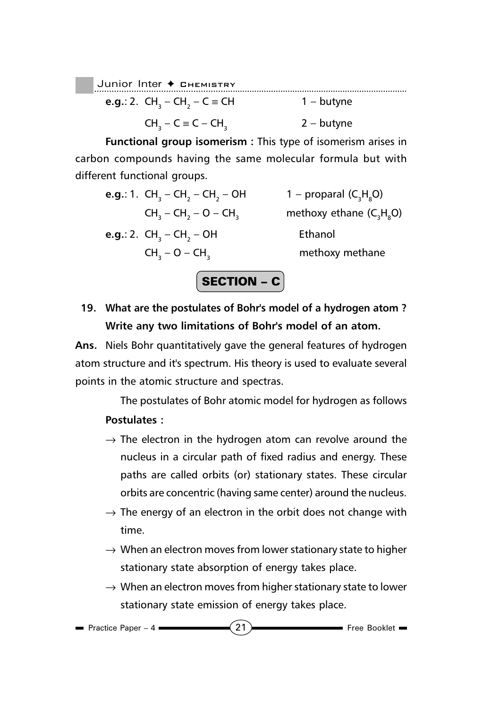Junior Inter ← CHEMISTRY **e.g.**: 2. CH<sub>3</sub> – CH<sub>2</sub>  $1 -$  butyne  $CH_3 - C \equiv C - CH_3$  2 – butyne

**Functional group isomerism :** This type of isomerism arises in carbon compounds having the same molecular formula but with different functional groups.

**e.g.**: 1. 
$$
CH_3 - CH_2 - CH_2 - OH
$$
  
\n $CH_3 - CH_2 - O - CH_3$   
\n**e.g.**: 2.  $CH_3 - CH_2 - OH$   
\n $CH_3 - O - CH_3$   
\n**f**  $ethanol$   
\n $CH_3 - O - CH_3$   
\n**g**  $ethaxy$  **ethane**  $(C_3H_8O)$ 

# **19. What are the postulates of Bohr's model of a hydrogen atom ? Write any two limitations of Bohr's model of an atom.**

 $|$  SECTION – C $|$ 

**Ans.** Niels Bohr quantitatively gave the general features of hydrogen atom structure and it's spectrum. His theory is used to evaluate several points in the atomic structure and spectras.

The postulates of Bohr atomic model for hydrogen as follows **Postulates :**

- $\rightarrow$  The electron in the hydrogen atom can revolve around the nucleus in a circular path of fixed radius and energy. These paths are called orbits (or) stationary states. These circular orbits are concentric (having same center) around the nucleus.
- $\rightarrow$  The energy of an electron in the orbit does not change with time.
- $\rightarrow$  When an electron moves from lower stationary state to higher stationary state absorption of energy takes place.
- $\rightarrow$  When an electron moves from higher stationary state to lower stationary state emission of energy takes place.

```
Practice Paper – 4 (21)
```
Free Booklet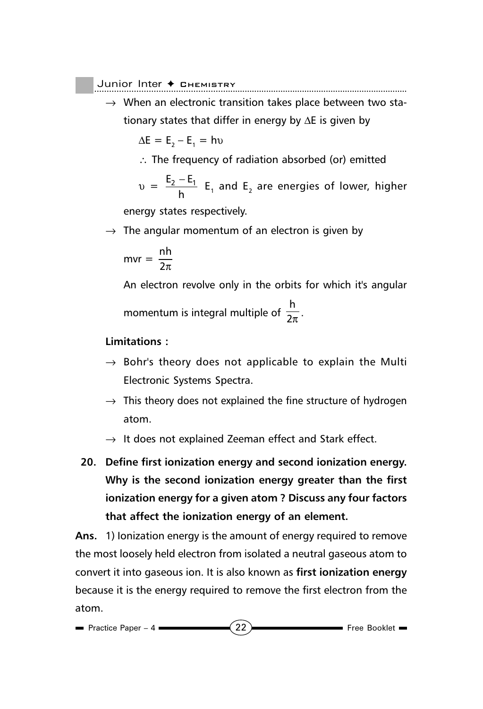$\rightarrow$  When an electronic transition takes place between two stationary states that differ in energy by ∆E is given by

$$
\Delta E = E_2 - E_1 = h v
$$

∴ The frequency of radiation absorbed (or) emitted

$$
v = \frac{E_2 - E_1}{h}
$$
 E<sub>1</sub> and E<sub>2</sub> are energies of lower, higher

energy states respectively.

 $\rightarrow$  The angular momentum of an electron is given by

$$
mvr = \frac{nh}{2\pi}
$$

An electron revolve only in the orbits for which it's angular momentum is integral multiple of  $\frac{h}{2}$  $\frac{1}{2\pi}$ .

#### **Limitations :**

- $\rightarrow$  Bohr's theory does not applicable to explain the Multi Electronic Systems Spectra.
- $\rightarrow$  This theory does not explained the fine structure of hydrogen atom.
- $\rightarrow$  It does not explained Zeeman effect and Stark effect.
- **20. Define first ionization energy and second ionization energy. Why is the second ionization energy greater than the first ionization energy for a given atom ? Discuss any four factors that affect the ionization energy of an element.**

**Ans.** 1) Ionization energy is the amount of energy required to remove the most loosely held electron from isolated a neutral gaseous atom to convert it into gaseous ion. It is also known as **first ionization energy** because it is the energy required to remove the first electron from the atom.

$$
= \text{Practice Paper - 4} \quad (22)
$$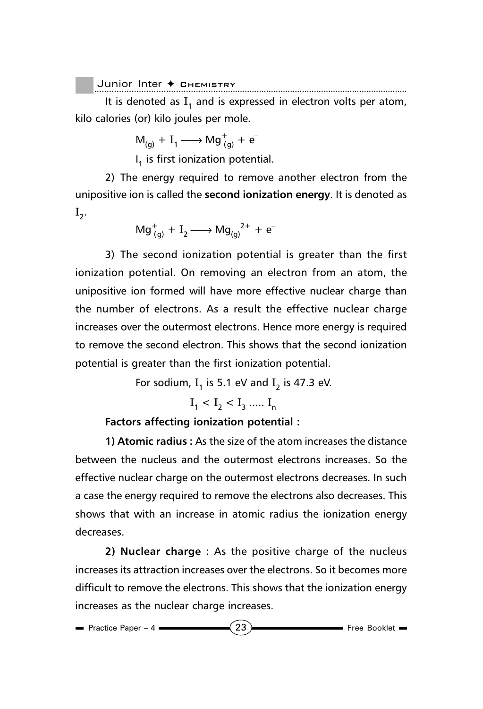$\big\vert$  Junior Inter  $\boldsymbol *$  Chemistry

It is denoted as  $I_1$  and is expressed in electron volts per atom, kilo calories (or) kilo joules per mole.

 $M_{(g)} + I_1 \longrightarrow Mg^+_{(g)} + e^-$ 

 $I_1$  is first ionization potential.

2) The energy required to remove another electron from the unipositive ion is called the **second ionization energy**. It is denoted as  $I_{2}$ .

$$
\mathrm{Mg}^+_{(g)} + \mathrm{I}_2 \longrightarrow \mathrm{Mg_{(g)}}^{2+} + \mathrm{e}^-
$$

3) The second ionization potential is greater than the first ionization potential. On removing an electron from an atom, the unipositive ion formed will have more effective nuclear charge than the number of electrons. As a result the effective nuclear charge increases over the outermost electrons. Hence more energy is required to remove the second electron. This shows that the second ionization potential is greater than the first ionization potential.

For sodium,  $I_1$  is 5.1 eV and  $I_2$  is 47.3 eV.

 $I_1 < I_2 < I_3$  .....  $I_n$ 

#### **Factors affecting ionization potential :**

**1) Atomic radius :** As the size of the atom increases the distance between the nucleus and the outermost electrons increases. So the effective nuclear charge on the outermost electrons decreases. In such a case the energy required to remove the electrons also decreases. This shows that with an increase in atomic radius the ionization energy decreases.

**2) Nuclear charge :** As the positive charge of the nucleus increases its attraction increases over the electrons. So it becomes more difficult to remove the electrons. This shows that the ionization energy increases as the nuclear charge increases.

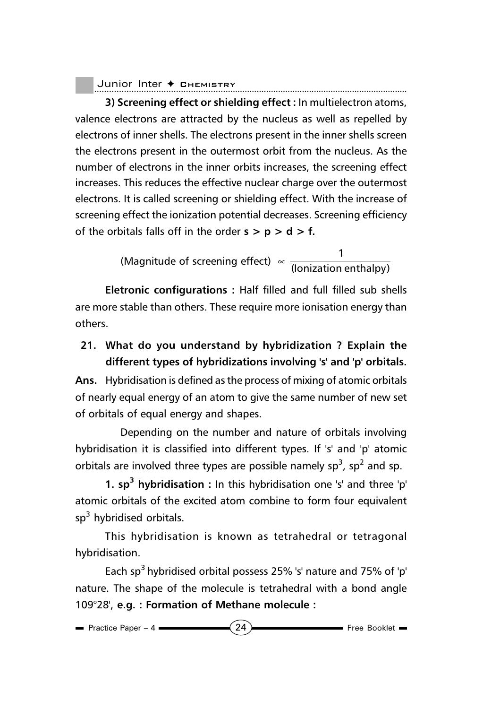**3) Screening effect or shielding effect :** In multielectron atoms, valence electrons are attracted by the nucleus as well as repelled by electrons of inner shells. The electrons present in the inner shells screen the electrons present in the outermost orbit from the nucleus. As the number of electrons in the inner orbits increases, the screening effect increases. This reduces the effective nuclear charge over the outermost electrons. It is called screening or shielding effect. With the increase of screening effect the ionization potential decreases. Screening efficiency of the orbitals falls off in the order  $s > p > d > f$ .

Magnitude of screening effect)  $\propto \frac{1}{\text{(lonization enthalpy)}}$ 

**Eletronic configurations :** Half filled and full filled sub shells are more stable than others. These require more ionisation energy than others.

**21. What do you understand by hybridization ? Explain the different types of hybridizations involving 's' and 'p' orbitals.**

**Ans.** Hybridisation is defined as the process of mixing of atomic orbitals of nearly equal energy of an atom to give the same number of new set of orbitals of equal energy and shapes.

Depending on the number and nature of orbitals involving hybridisation it is classified into different types. If 's' and 'p' atomic orbitals are involved three types are possible namely  $sp^3$ ,  $sp^2$  and sp.

**1. sp3 hybridisation :** In this hybridisation one 's' and three 'p' atomic orbitals of the excited atom combine to form four equivalent sp<sup>3</sup> hybridised orbitals.

This hybridisation is known as tetrahedral or tetragonal hybridisation.

Each sp<sup>3</sup> hybridised orbital possess 25% 's' nature and 75% of 'p' nature. The shape of the molecule is tetrahedral with a bond angle 109°28', **e.g. : Formation of Methane molecule :**

| Practice Paper - 4 | 21 | Free Booklet |
|--------------------|----|--------------|
|--------------------|----|--------------|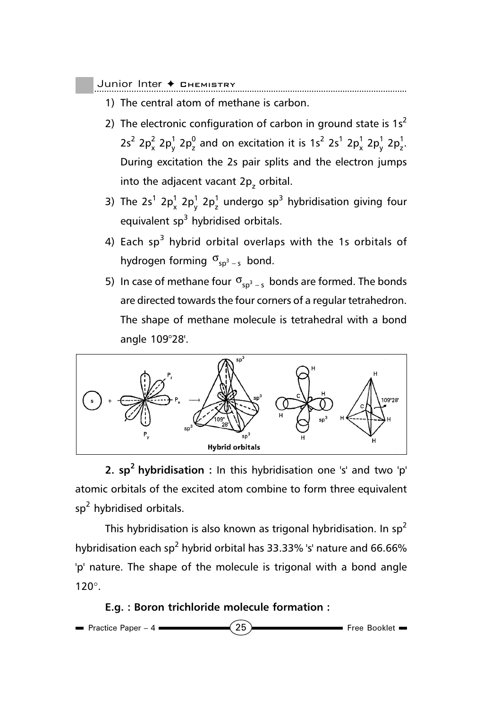- 1) The central atom of methane is carbon.
- 2) The electronic configuration of carbon in ground state is  $1s<sup>2</sup>$  $2s^2$  2p $^{2}_{x}$  2p $^{1}_{y}$  2p $^{0}_{z}$  and on excitation it is 1s<sup>2</sup> 2s<sup>1</sup> 2p $^{1}_{x}$  2p $^{1}_{y}$  2p $^{1}_{z}$ . During excitation the 2s pair splits and the electron jumps into the adjacent vacant 2 $\bm{{\mathsf{p}}}_\textsf{z}$  orbital.
- 3) The 2s<sup>1</sup> 2p<sub>x</sub><sup>1</sup> 2p<sub>2</sub><sup>1</sup> undergo sp<sup>3</sup> hybridisation giving four equivalent sp<sup>3</sup> hybridised orbitals.
- 4) Each sp<sup>3</sup> hybrid orbital overlaps with the 1s orbitals of hydrogen forming  $\sigma_{sp^3-s}$  bond.
- 5) In case of methane four  $\sigma_{sp^3-s}$  bonds are formed. The bonds are directed towards the four corners of a regular tetrahedron. The shape of methane molecule is tetrahedral with a bond angle 109°28'.



**2. sp2 hybridisation :** In this hybridisation one 's' and two 'p' atomic orbitals of the excited atom combine to form three equivalent sp<sup>2</sup> hybridised orbitals.

This hybridisation is also known as trigonal hybridisation. In  $sp<sup>2</sup>$ hybridisation each sp<sup>2</sup> hybrid orbital has 33.33% 's' nature and 66.66% 'p' nature. The shape of the molecule is trigonal with a bond angle 120°.

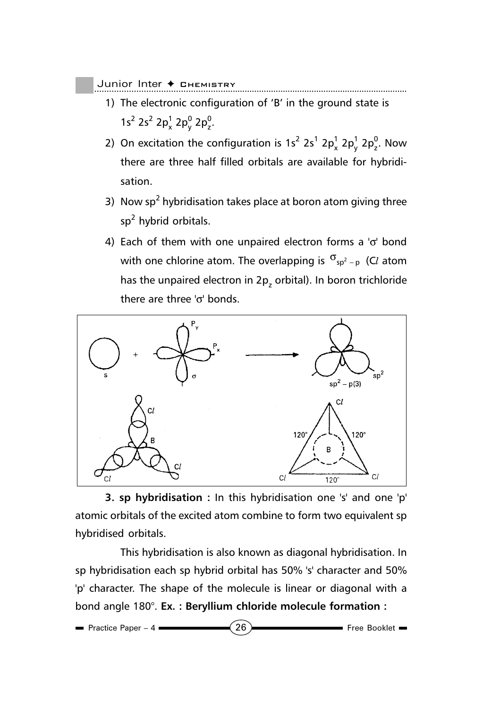- 1) The electronic configuration of 'B' in the ground state is  $1s^2$  2s<sup>2</sup> 2p<sub>x</sub><sup>1</sup> 2p<sub>y</sub><sup>0</sup> 2p<sub>2</sub><sup>0</sup>.
- 2) On excitation the configuration is  $1s^2 2s^1 2p_x^1 2p_y^1 2p_z^0$ . Now there are three half filled orbitals are available for hybridisation.
- 3) Now sp<sup>2</sup> hybridisation takes place at boron atom giving three sp<sup>2</sup> hybrid orbitals.
- 4) Each of them with one unpaired electron forms a 'σ' bond with one chlorine atom. The overlapping is  $\sigma_{sp^2-p}$  (Cl atom has the unpaired electron in 2 $\bm{{\mathsf{p}}}_\textsf{z}$  orbital). In boron trichloride there are three 'σ' bonds.



**3. sp hybridisation :** In this hybridisation one 's' and one 'p' atomic orbitals of the excited atom combine to form two equivalent sp hybridised orbitals.

This hybridisation is also known as diagonal hybridisation. In sp hybridisation each sp hybrid orbital has 50% 's' character and 50% 'p' character. The shape of the molecule is linear or diagonal with a bond angle 180°. **Ex. : Beryllium chloride molecule formation :**

| <b>Practice Paper - 4</b> | 26 | Free Booklet - |
|---------------------------|----|----------------|
|---------------------------|----|----------------|